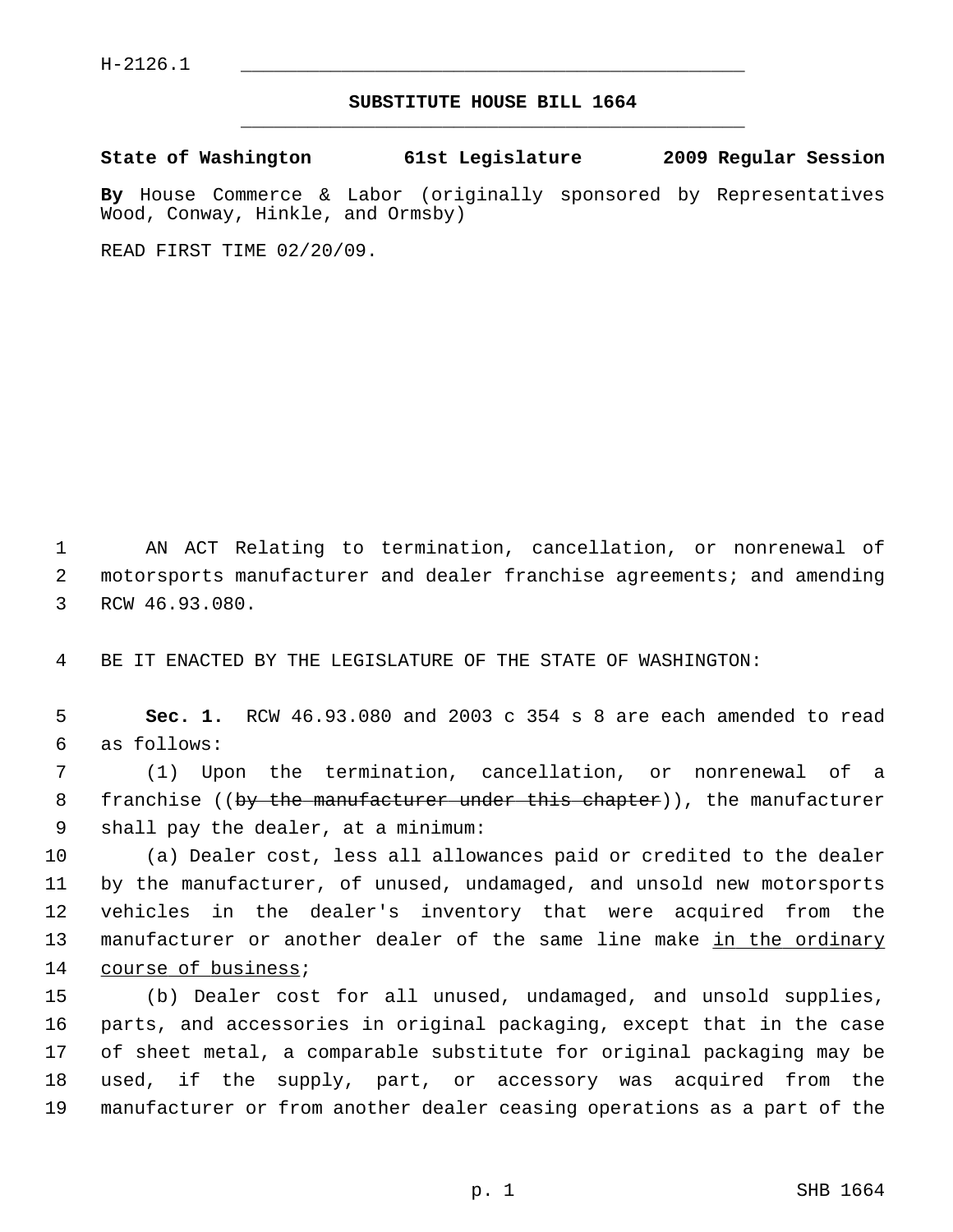## **SUBSTITUTE HOUSE BILL 1664** \_\_\_\_\_\_\_\_\_\_\_\_\_\_\_\_\_\_\_\_\_\_\_\_\_\_\_\_\_\_\_\_\_\_\_\_\_\_\_\_\_\_\_\_\_

**State of Washington 61st Legislature 2009 Regular Session**

**By** House Commerce & Labor (originally sponsored by Representatives Wood, Conway, Hinkle, and Ormsby)

READ FIRST TIME 02/20/09.

 1 AN ACT Relating to termination, cancellation, or nonrenewal of 2 motorsports manufacturer and dealer franchise agreements; and amending 3 RCW 46.93.080.

4 BE IT ENACTED BY THE LEGISLATURE OF THE STATE OF WASHINGTON:

 5 **Sec. 1.** RCW 46.93.080 and 2003 c 354 s 8 are each amended to read 6 as follows:

 7 (1) Upon the termination, cancellation, or nonrenewal of a 8 franchise ((by the manufacturer under this chapter)), the manufacturer 9 shall pay the dealer, at a minimum:

10 (a) Dealer cost, less all allowances paid or credited to the dealer 11 by the manufacturer, of unused, undamaged, and unsold new motorsports 12 vehicles in the dealer's inventory that were acquired from the 13 manufacturer or another dealer of the same line make in the ordinary 14 course of business;

15 (b) Dealer cost for all unused, undamaged, and unsold supplies, 16 parts, and accessories in original packaging, except that in the case 17 of sheet metal, a comparable substitute for original packaging may be 18 used, if the supply, part, or accessory was acquired from the 19 manufacturer or from another dealer ceasing operations as a part of the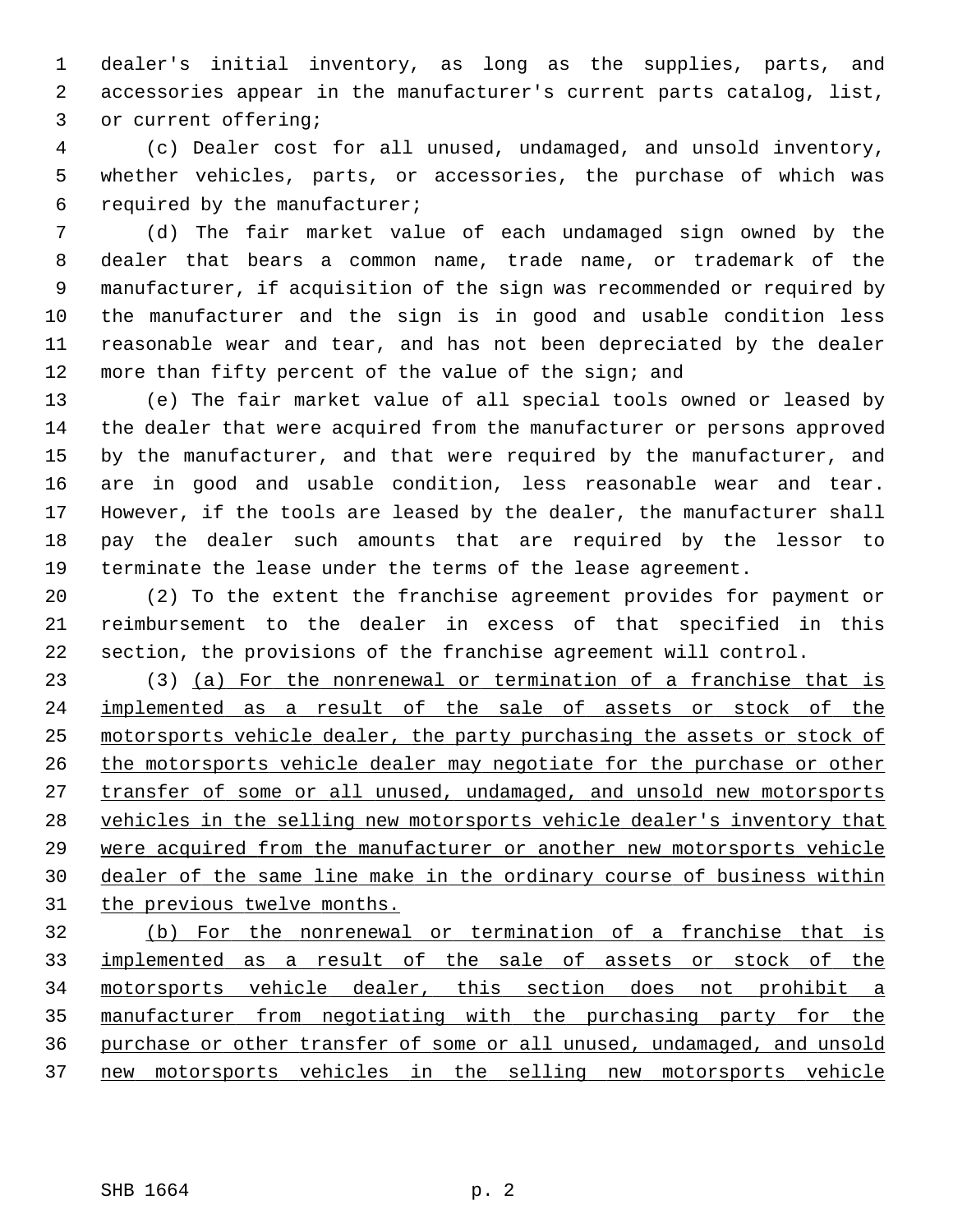1 dealer's initial inventory, as long as the supplies, parts, and 2 accessories appear in the manufacturer's current parts catalog, list, 3 or current offering;

 4 (c) Dealer cost for all unused, undamaged, and unsold inventory, 5 whether vehicles, parts, or accessories, the purchase of which was 6 required by the manufacturer;

 7 (d) The fair market value of each undamaged sign owned by the 8 dealer that bears a common name, trade name, or trademark of the 9 manufacturer, if acquisition of the sign was recommended or required by 10 the manufacturer and the sign is in good and usable condition less 11 reasonable wear and tear, and has not been depreciated by the dealer 12 more than fifty percent of the value of the sign; and

13 (e) The fair market value of all special tools owned or leased by 14 the dealer that were acquired from the manufacturer or persons approved 15 by the manufacturer, and that were required by the manufacturer, and 16 are in good and usable condition, less reasonable wear and tear. 17 However, if the tools are leased by the dealer, the manufacturer shall 18 pay the dealer such amounts that are required by the lessor to 19 terminate the lease under the terms of the lease agreement.

20 (2) To the extent the franchise agreement provides for payment or 21 reimbursement to the dealer in excess of that specified in this 22 section, the provisions of the franchise agreement will control.

23 (3) (a) For the nonrenewal or termination of a franchise that is implemented as a result of the sale of assets or stock of the motorsports vehicle dealer, the party purchasing the assets or stock of the motorsports vehicle dealer may negotiate for the purchase or other transfer of some or all unused, undamaged, and unsold new motorsports vehicles in the selling new motorsports vehicle dealer's inventory that were acquired from the manufacturer or another new motorsports vehicle dealer of the same line make in the ordinary course of business within the previous twelve months.

 (b) For the nonrenewal or termination of a franchise that is implemented as a result of the sale of assets or stock of the motorsports vehicle dealer, this section does not prohibit a manufacturer from negotiating with the purchasing party for the purchase or other transfer of some or all unused, undamaged, and unsold new motorsports vehicles in the selling new motorsports vehicle